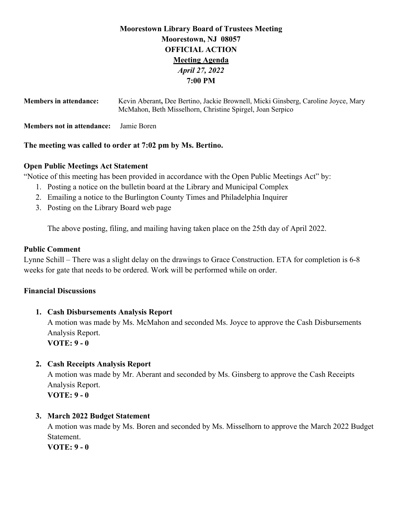# **Moorestown Library Board of Trustees Meeting Moorestown, NJ 08057 OFFICIAL ACTION Meeting Agenda** *April 27, 2022*  **7:00 PM**

| <b>Members in attendance:</b>     | Kevin Aberant, Dee Bertino, Jackie Brownell, Micki Ginsberg, Caroline Joyce, Mary<br>McMahon, Beth Misselhorn, Christine Spirgel, Joan Serpico |
|-----------------------------------|------------------------------------------------------------------------------------------------------------------------------------------------|
| <b>Members not in attendance:</b> | Jamie Boren                                                                                                                                    |

# **The meeting was called to order at 7:02 pm by Ms. Bertino.**

# **Open Public Meetings Act Statement**

"Notice of this meeting has been provided in accordance with the Open Public Meetings Act" by:

- 1. Posting a notice on the bulletin board at the Library and Municipal Complex
- 2. Emailing a notice to the Burlington County Times and Philadelphia Inquirer
- 3. Posting on the Library Board web page

The above posting, filing, and mailing having taken place on the 25th day of April 2022.

# **Public Comment**

Lynne Schill – There was a slight delay on the drawings to Grace Construction. ETA for completion is 6-8 weeks for gate that needs to be ordered. Work will be performed while on order.

# **Financial Discussions**

# **1. Cash Disbursements Analysis Report**

A motion was made by Ms. McMahon and seconded Ms. Joyce to approve the Cash Disbursements Analysis Report.

**VOTE: 9 - 0** 

# **2. Cash Receipts Analysis Report**

A motion was made by Mr. Aberant and seconded by Ms. Ginsberg to approve the Cash Receipts Analysis Report. **VOTE: 9 - 0** 

# **3. March 2022 Budget Statement**

A motion was made by Ms. Boren and seconded by Ms. Misselhorn to approve the March 2022 Budget Statement.

**VOTE: 9 - 0**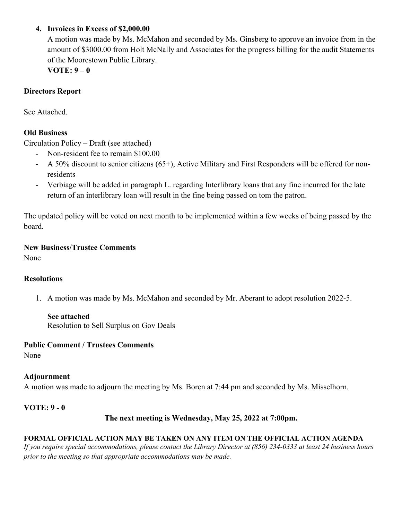# **4. Invoices in Excess of \$2,000.00**

A motion was made by Ms. McMahon and seconded by Ms. Ginsberg to approve an invoice from in the amount of \$3000.00 from Holt McNally and Associates for the progress billing for the audit Statements of the Moorestown Public Library.

**VOTE: 9 – 0** 

# **Directors Report**

See Attached.

# **Old Business**

Circulation Policy – Draft (see attached)

- Non-resident fee to remain \$100.00
- A 50% discount to senior citizens (65+), Active Military and First Responders will be offered for nonresidents
- Verbiage will be added in paragraph L. regarding Interlibrary loans that any fine incurred for the late return of an interlibrary loan will result in the fine being passed on tom the patron.

The updated policy will be voted on next month to be implemented within a few weeks of being passed by the board.

**New Business/Trustee Comments** 

None

# **Resolutions**

1. A motion was made by Ms. McMahon and seconded by Mr. Aberant to adopt resolution 2022-5.

# **See attached**

Resolution to Sell Surplus on Gov Deals

# **Public Comment / Trustees Comments**

None

# **Adjournment**

A motion was made to adjourn the meeting by Ms. Boren at 7:44 pm and seconded by Ms. Misselhorn.

# **VOTE: 9 - 0**

# **The next meeting is Wednesday, May 25, 2022 at 7:00pm.**

# **FORMAL OFFICIAL ACTION MAY BE TAKEN ON ANY ITEM ON THE OFFICIAL ACTION AGENDA**

*If you require special accommodations, please contact the Library Director at (856) 234-0333 at least 24 business hours prior to the meeting so that appropriate accommodations may be made.*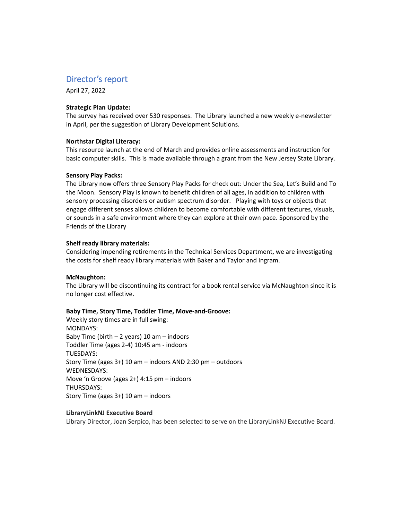# Director's report

April 27, 2022

#### **Strategic Plan Update:**

The survey has received over 530 responses. The Library launched a new weekly e-newsletter in April, per the suggestion of Library Development Solutions.

#### **Northstar Digital Literacy:**

This resource launch at the end of March and provides online assessments and instruction for basic computer skills. This is made available through a grant from the New Jersey State Library.

#### **Sensory Play Packs:**

The Library now offers three Sensory Play Packs for check out: Under the Sea, Let's Build and To the Moon. Sensory Play is known to benefit children of all ages, in addition to children with sensory processing disorders or autism spectrum disorder. Playing with toys or objects that engage different senses allows children to become comfortable with different textures, visuals, or sounds in a safe environment where they can explore at their own pace. Sponsored by the Friends of the Library

#### **Shelf ready library materials:**

Considering impending retirements in the Technical Services Department, we are investigating the costs for shelf ready library materials with Baker and Taylor and Ingram.

#### **McNaughton:**

The Library will be discontinuing its contract for a book rental service via McNaughton since it is no longer cost effective.

#### **Baby Time, Story Time, Toddler Time, Move-and-Groove:**

Weekly story times are in full swing: MONDAYS: Baby Time (birth  $-2$  years) 10 am  $-$  indoors Toddler Time (ages 2-4) 10:45 am - indoors TUESDAYS: Story Time (ages  $3+$ ) 10 am – indoors AND 2:30 pm – outdoors WEDNESDAYS: Move 'n Groove (ages 2+) 4:15 pm - indoors THURSDAYS: Story Time (ages  $3+$ ) 10 am – indoors

#### **LibraryLinkNJ Executive Board**

Library Director, Joan Serpico, has been selected to serve on the LibraryLinkNJ Executive Board.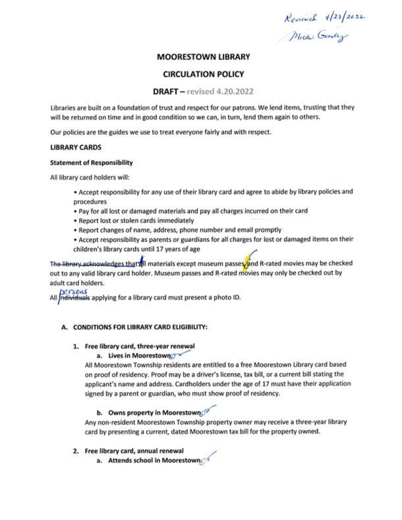Reviewed 4/23/2022

# **MOORESTOWN LIBRARY**

# **CIRCULATION POLICY**

# $DRAFT$  – revised 4.20.2022

Libraries are built on a foundation of trust and respect for our patrons. We lend items, trusting that they will be returned on time and in good condition so we can, in turn, lend them again to others.

Our policies are the guides we use to treat everyone fairly and with respect.

#### **LIBRARY CARDS**

#### **Statement of Responsibility**

All library card holders will:

- . Accept responsibility for any use of their library card and agree to abide by library policies and procedures
- . Pay for all lost or damaged materials and pay all charges incurred on their card
- Report lost or stolen cards immediately
- . Report changes of name, address, phone number and email promptly
- \* Accept responsibility as parents or guardians for all charges for lost or damaged items on their children's library cards until 17 years of age

The library acknowledges that All materials except museum passes and R-rated movies may be checked out to any valid library card holder. Museum passes and R-rated movies may only be checked out by adult card holders.

DEFSONS All individuals applying for a library card must present a photo ID.

#### A. CONDITIONS FOR LIBRARY CARD ELIGIBILITY:

# 1. Free library card, three-year renewal

#### a. Lives in Moorestown:

All Moorestown Township residents are entitled to a free Moorestown Library card based on proof of residency. Proof may be a driver's license, tax bill, or a current bill stating the applicant's name and address. Cardholders under the age of 17 must have their application signed by a parent or guardian, who must show proof of residency.

# b. Owns property in Moorestown.

Any non-resident Moorestown Township property owner may receive a three-year library card by presenting a current, dated Moorestown tax bill for the property owned.

#### 2. Free library card, annual renewal

a. Attends school in Moorestown.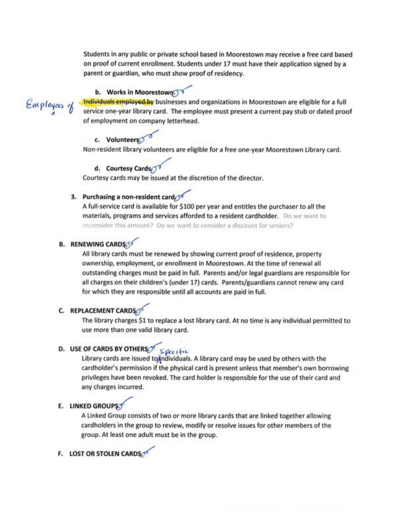Students in any public or private school based in Moorestown may receive a free card based on proof of current enrollment. Students under 17 must have their application signed by a parent or guardian, who must show proof of residency.

# b. Works in Moorestown. 30



Individuals employed by businesses and organizations in Moorestown are eligible for a full service one-year library card. The employee must present a current pay stub or dated proof of employment on company letterhead.

# c. Volunteers

Non-resident library volunteers are eligible for a free one-year Moorestown Library card.

# d. Courtesy Cards

Courtesy cards may be issued at the discretion of the director.

# 3. Purchasing a non-resident card

A full-service card is available for \$100 per year and entitles the purchaser to all the materials, programs and services afforded to a resident cardholder. Do we want to reconsider this amount? Do we want to consider a discount for seniors?

# **B. RENEWING CARDS:ST**

All library cards must be renewed by showing current proof of residence, property ownership, employment, or enrollment in Moorestown. At the time of renewal all outstanding charges must be paid in full. Parents and/or legal guardians are responsible for all charges on their children's (under 17) cards. Parents/guardians cannot renew any card for which they are responsible until all accounts are paid in full.

# C. REPLACEMENT CARDS

The library charges \$1 to replace a lost library card. At no time is any individual permitted to use more than one valid library card.

# D. USE OF CARDS BY OTHERS Specific

Library cards are issued to individuals. A library card may be used by others with the cardholder's permission if the physical card is present unless that member's own borrowing privileges have been revoked. The card holder is responsible for the use of their card and any charges incurred.

### E. LINKED GROUPS.

A Linked Group consists of two or more library cards that are linked together allowing cardholders in the group to review, modify or resolve issues for other members of the group. At least one adult must be in the group.

# F. LOST OR STOLEN CARDS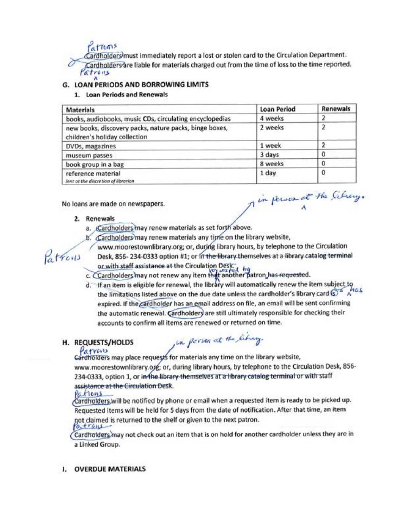attoris Cardholders must immediately report a lost or stolen card to the Circulation Department. Cardholders are liable for materials charged out from the time of loss to the time reported. Patrons

# **G. LOAN PERIODS AND BORROWING LIMITS**

# 1. Loan Periods and Renewals

| <b>Materials</b>                                                                        | <b>Loan Period</b> | <b>Renewals</b> |
|-----------------------------------------------------------------------------------------|--------------------|-----------------|
| books, audiobooks, music CDs, circulating encyclopedias                                 | 4 weeks            |                 |
| new books, discovery packs, nature packs, binge boxes,<br>children's holiday collection | 2 weeks            |                 |
| DVDs, magazines                                                                         | 1 week             |                 |
| museum passes                                                                           | 3 days             | 0               |
| book group in a bag                                                                     | 8 weeks            | 0               |
| reference material<br>lent at the discretion of librarian                               | 1 day              | 0               |

No loans are made on newspapers.

# 2. Renewals

Patrons

- a. Cardholders may renew materials as set forth above.
- b. Cardholders may renew materials any time on the library website,
	- www.moorestownlibrary.org; or, during library hours, by telephone to the Circulation

I'm person at the Citreny.

- Desk, 856-234-0333 option #1; or in the library themselves at a library catalog terminal or with staff assistance at the Circulation Desk. hg
- c. Cardholders may not renew any item that another patron has requested.
- d. If an item is eligible for renewal, the library will automatically renew the item subject to the limitations listed above on the due date unless the cardholder's library card  $\mathbb{S}^3$  And S expired. If the cardholder has an email address on file, an email will be sent confirming the automatic renewal. Cardholders are still ultimately responsible for checking their accounts to confirm all items are renewed or returned on time.

# H. REQUESTS/HOLDS

, in person at the library.

Patrons<br>Cardholders may place requests for materials any time on the library website, www.moorestownlibrary.org; or, during library hours, by telephone to the Circulation Desk, 856-234-0333, option 1, or in the library themselves at a library catalog terminal or with staff assistance at the Circulation Desk.

# Pations

Cardholders will be notified by phone or email when a requested item is ready to be picked up. Requested items will be held for 5 days from the date of notification. After that time, an item not claimed is returned to the shelf or given to the next patron.

# $0 + r \omega$

Cardholders may not check out an item that is on hold for another cardholder unless they are in a Linked Group.

# **I. OVERDUE MATERIALS**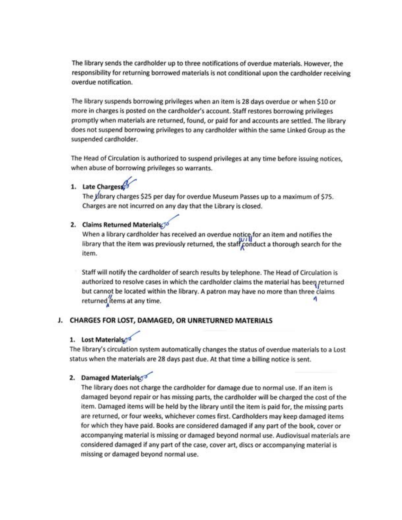The library sends the cardholder up to three notifications of overdue materials. However, the responsibility for returning borrowed materials is not conditional upon the cardholder receiving overdue notification.

The library suspends borrowing privileges when an item is 28 days overdue or when \$10 or more in charges is posted on the cardholder's account. Staff restores borrowing privileges promptly when materials are returned, found, or paid for and accounts are settled. The library does not suspend borrowing privileges to any cardholder within the same Linked Group as the suspended cardholder.

The Head of Circulation is authorized to suspend privileges at any time before issuing notices, when abuse of borrowing privileges so warrants.

# 1. Late Charges

The Library charges \$25 per day for overdue Museum Passes up to a maximum of \$75. Charges are not incurred on any day that the Library is closed.

# 2. Claims Returned Materials

When a library cardholder has received an overdue notice for an item and notifies the library that the item was previously returned, the staff conduct a thorough search for the item.

Staff will notify the cardholder of search results by telephone. The Head of Circulation is authorized to resolve cases in which the cardholder claims the material has been returned but cannot be located within the library. A patron may have no more than three claims returned items at any time.

# J. CHARGES FOR LOST, DAMAGED, OR UNRETURNED MATERIALS

# 1. Lost Materialse

The library's circulation system automatically changes the status of overdue materials to a Lost status when the materials are 28 days past due. At that time a billing notice is sent.

# 2. Damaged Materialson

The library does not charge the cardholder for damage due to normal use. If an item is damaged beyond repair or has missing parts, the cardholder will be charged the cost of the item. Damaged items will be held by the library until the item is paid for, the missing parts are returned, or four weeks, whichever comes first. Cardholders may keep damaged items for which they have paid. Books are considered damaged if any part of the book, cover or accompanying material is missing or damaged beyond normal use. Audiovisual materials are considered damaged if any part of the case, cover art, discs or accompanying material is missing or damaged beyond normal use.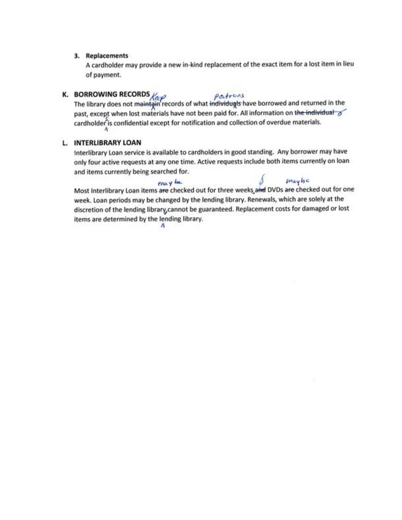#### 3. Replacements

A cardholder may provide a new in-kind replacement of the exact item for a lost item in lieu of payment.

**K. BORROWING RECORDS**  $\begin{matrix} \ell_{c} & \rho_{c} + r_{c} & \rho_{c} \\ \text{The library does not maintain records of what individuals have borrowed and returned in the\n\end{matrix}$ past, except when lost materials have not been paid for. All information on the individual cardholder is confidential except for notification and collection of overdue materials.

### L. INTERLIBRARY LOAN

Interlibrary Loan service is available to cardholders in good standing. Any borrower may have only four active requests at any one time. Active requests include both items currently on loan and items currently being searched for.

Most Interlibrary Loan items are checked out for three weeks and DVDs are checked out for one week. Loan periods may be changed by the lending library. Renewals, which are solely at the discretion of the lending library cannot be guaranteed. Replacement costs for damaged or lost items are determined by the lending library.

л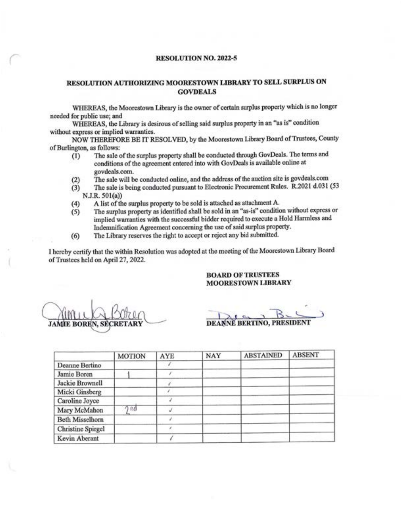#### **RESOLUTION NO. 2022-5**

#### RESOLUTION AUTHORIZING MOORESTOWN LIBRARY TO SELL SURPLUS ON **GOVDEALS**

WHEREAS, the Moorestown Library is the owner of certain surplus property which is no longer needed for public use; and

WHEREAS, the Library is desirous of selling said surplus property in an "as is" condition without express or implied warranties.

NOW THEREFORE BE IT RESOLVED, by the Moorestown Library Board of Trustees, County of Burlington, as follows:

- The sale of the surplus property shall be conducted through GovDeals. The terms and  $(1)$ conditions of the agreement entered into with GovDeals is available online at govdeals.com.
- The sale will be conducted online, and the address of the auction site is govdeals.com  $(2)$
- The sale is being conducted pursuant to Electronic Procurement Rules. R.2021 d.031 (53  $(3)$ N.J.R. 501(a))
- A list of the surplus property to be sold is attached as attachment A.  $(4)$
- The surplus property as identified shall be sold in an "as-is" condition without express or  $(5)$ implied warranties with the successful bidder required to execute a Hold Harmless and Indemnification Agreement concerning the use of said surplus property.
- The Library reserves the right to accept or reject any bid submitted.  $(6)$

I hereby certify that the within Resolution was adopted at the meeting of the Moorestown Library Board of Trustees held on April 27, 2022.

#### **BOARD OF TRUSTEES MOORESTOWN LIBRARY**

**JAMIE BOREN, SEC** 

DEANNE BERTINO, PRESIDENT

|                        | <b>MOTION</b> | <b>AYE</b> | NAY | <b>ABSTAINED</b> | <b>ABSENT</b> |
|------------------------|---------------|------------|-----|------------------|---------------|
| Deanne Bertino         |               |            |     |                  |               |
| Jamie Boren            |               |            |     |                  |               |
| Jackie Brownell        |               |            |     |                  |               |
| Micki Ginsberg         |               |            |     |                  |               |
| Caroline Joyce         |               |            |     |                  |               |
| Mary McMahon           | ባ ሰበ          |            |     |                  |               |
| <b>Beth Misselhorn</b> |               |            |     |                  |               |
| Christine Spirgel      |               |            |     |                  |               |
| Kevin Aberant          |               |            |     |                  |               |